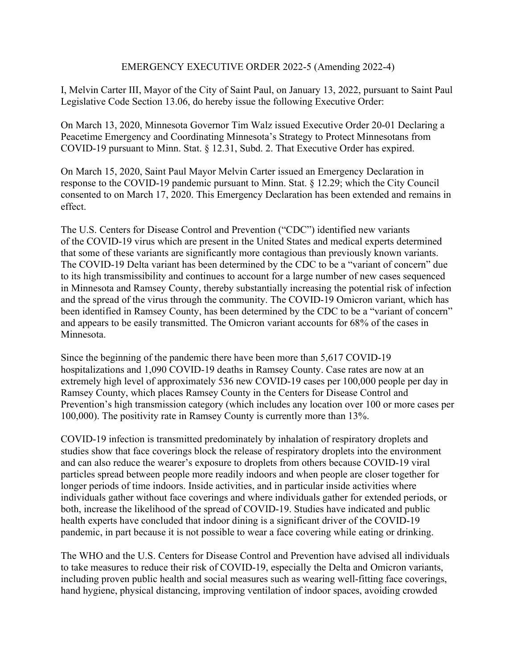## EMERGENCY EXECUTIVE ORDER 2022-5 (Amending 2022-4)

I, Melvin Carter III, Mayor of the City of Saint Paul, on January 13, 2022, pursuant to Saint Paul Legislative Code Section 13.06, do hereby issue the following Executive Order:

On March 13, 2020, Minnesota Governor Tim Walz issued Executive Order 20-01 Declaring a Peacetime Emergency and Coordinating Minnesota's Strategy to Protect Minnesotans from COVID-19 pursuant to Minn. Stat. § 12.31, Subd. 2. That Executive Order has expired.

On March 15, 2020, Saint Paul Mayor Melvin Carter issued an Emergency Declaration in response to the COVID-19 pandemic pursuant to Minn. Stat. § 12.29; which the City Council consented to on March 17, 2020. This Emergency Declaration has been extended and remains in effect.

The U.S. Centers for Disease Control and Prevention ("CDC") identified new variants of the COVID-19 virus which are present in the United States and medical experts determined that some of these variants are significantly more contagious than previously known variants. The COVID-19 Delta variant has been determined by the CDC to be a "variant of concern" due to its high transmissibility and continues to account for a large number of new cases sequenced in Minnesota and Ramsey County, thereby substantially increasing the potential risk of infection and the spread of the virus through the community. The COVID-19 Omicron variant, which has been identified in Ramsey County, has been determined by the CDC to be a "variant of concern" and appears to be easily transmitted. The Omicron variant accounts for 68% of the cases in Minnesota.

Since the beginning of the pandemic there have been more than 5,617 COVID-19 hospitalizations and 1,090 COVID-19 deaths in Ramsey County. Case rates are now at an extremely high level of approximately 536 new COVID-19 cases per 100,000 people per day in Ramsey County, which places Ramsey County in the Centers for Disease Control and Prevention's high transmission category (which includes any location over 100 or more cases per 100,000). The positivity rate in Ramsey County is currently more than 13%.

COVID-19 infection is transmitted predominately by inhalation of respiratory droplets and studies show that face coverings block the release of respiratory droplets into the environment and can also reduce the wearer's exposure to droplets from others because COVID-19 viral particles spread between people more readily indoors and when people are closer together for longer periods of time indoors. Inside activities, and in particular inside activities where individuals gather without face coverings and where individuals gather for extended periods, or both, increase the likelihood of the spread of COVID-19. Studies have indicated and public health experts have concluded that indoor dining is a significant driver of the COVID-19 pandemic, in part because it is not possible to wear a face covering while eating or drinking.

The WHO and the U.S. Centers for Disease Control and Prevention have advised all individuals to take measures to reduce their risk of COVID-19, especially the Delta and Omicron variants, including proven public health and social measures such as wearing well-fitting face coverings, hand hygiene, physical distancing, improving ventilation of indoor spaces, avoiding crowded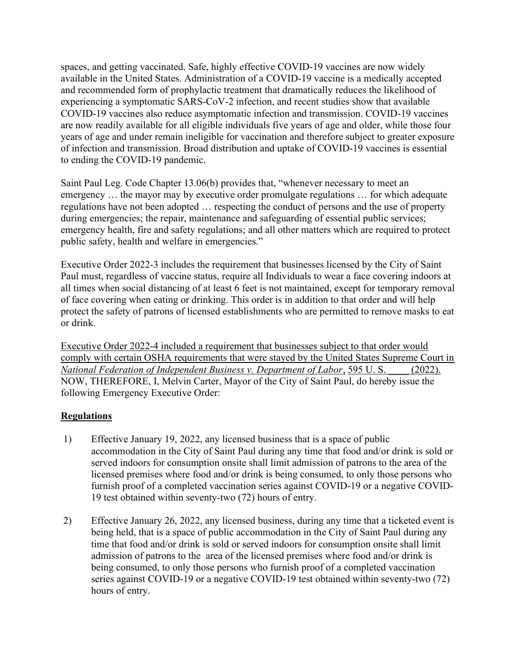spaces, and getting vaccinated. Safe, highly effective COVID-19 vaccines are now widely available in the United States. Administration of a COVID-19 vaccine is a medically accepted and recommended form of prophylactic treatment that dramatically reduces the likelihood of experiencing a symptomatic SARS-CoV-2 infection, and recent studies show that available COVID-19 vaccines also reduce asymptomatic infection and transmission. COVID-19 vaccines are now readily available for all eligible individuals five years of age and older, while those four years of age and under remain ineligible for vaccination and therefore subject to greater exposure of infection and transmission. Broad distribution and uptake of COVID-19 vaccines is essential to ending the COVID-19 pandemic.

Saint Paul Leg. Code Chapter 13.06(b) provides that, "whenever necessary to meet an emergency ... the mayor may by executive order promulgate regulations ... for which adequate regulations have not been adopted … respecting the conduct of persons and the use of property during emergencies; the repair, maintenance and safeguarding of essential public services; emergency health, fire and safety regulations; and all other matters which are required to protect public safety, health and welfare in emergencies."

Executive Order 2022-3 includes the requirement that businesses licensed by the City of Saint Paul must, regardless of vaccine status, require all Individuals to wear a face covering indoors at all times when social distancing of at least 6 feet is not maintained, except for temporary removal of face covering when eating or drinking. This order is in addition to that order and will help protect the safety of patrons of licensed establishments who are permitted to remove masks to eat or drink.

Executive Order 2022-4 included a requirement that businesses subject to that order would comply with certain OSHA requirements that were stayed by the United States Supreme Court in National Federation of Independent Business v. Department of Labor, 595 U.S. (2022). NOW, THEREFORE, I, Melvin Carter, Mayor of the City of Saint Paul, do hereby issue the following Emergency Executive Order:

## **Regulations**

- 1) Effective January 19, 2022, any licensed business that is a space of public accommodation in the City of Saint Paul during any time that food and/or drink is sold or served indoors for consumption onsite shall limit admission of patrons to the area of the licensed premises where food and/or drink is being consumed, to only those persons who furnish proof of a completed vaccination series against COVID-19 or a negative COVID-19 test obtained within seventy-two (72) hours of entry.
- 2) Effective January 26, 2022, any licensed business, during any time that a ticketed event is being held, that is a space of public accommodation in the City of Saint Paul during any time that food and/or drink is sold or served indoors for consumption onsite shall limit admission of patrons to the area of the licensed premises where food and/or drink is being consumed, to only those persons who furnish proof of a completed vaccination series against COVID-19 or a negative COVID-19 test obtained within seventy-two (72) hours of entry.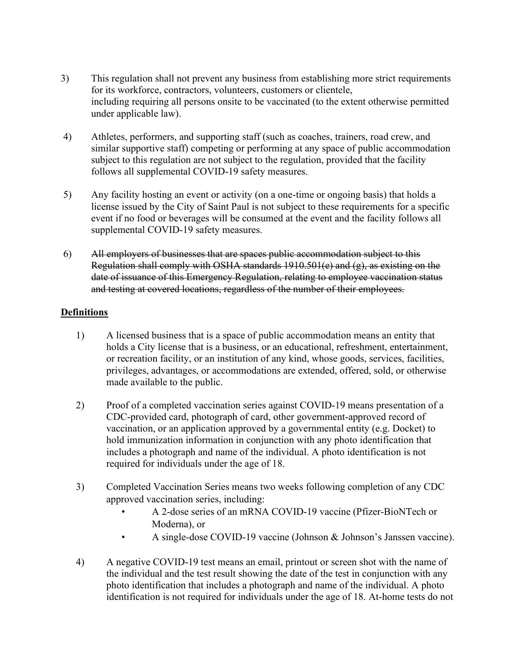- 3) This regulation shall not prevent any business from establishing more strict requirements for its workforce, contractors, volunteers, customers or clientele, including requiring all persons onsite to be vaccinated (to the extent otherwise permitted under applicable law).
- 4) Athletes, performers, and supporting staff (such as coaches, trainers, road crew, and similar supportive staff) competing or performing at any space of public accommodation subject to this regulation are not subject to the regulation, provided that the facility follows all supplemental COVID-19 safety measures.
- 5) Any facility hosting an event or activity (on a one-time or ongoing basis) that holds a license issued by the City of Saint Paul is not subject to these requirements for a specific event if no food or beverages will be consumed at the event and the facility follows all supplemental COVID-19 safety measures.
- 6) All employers of businesses that are spaces public accommodation subject to this Regulation shall comply with OSHA standards  $1910.501(e)$  and  $(g)$ , as existing on the date of issuance of this Emergency Regulation, relating to employee vaccination status and testing at covered locations, regardless of the number of their employees.

## Definitions

- 1) A licensed business that is a space of public accommodation means an entity that holds a City license that is a business, or an educational, refreshment, entertainment, or recreation facility, or an institution of any kind, whose goods, services, facilities, privileges, advantages, or accommodations are extended, offered, sold, or otherwise made available to the public.
- 2) Proof of a completed vaccination series against COVID-19 means presentation of a CDC-provided card, photograph of card, other government-approved record of vaccination, or an application approved by a governmental entity (e.g. Docket) to hold immunization information in conjunction with any photo identification that includes a photograph and name of the individual. A photo identification is not required for individuals under the age of 18.
- 3) Completed Vaccination Series means two weeks following completion of any CDC approved vaccination series, including:
	- A 2-dose series of an mRNA COVID-19 vaccine (Pfizer-BioNTech or Moderna), or
	- A single-dose COVID-19 vaccine (Johnson & Johnson's Janssen vaccine).
- 4) A negative COVID-19 test means an email, printout or screen shot with the name of the individual and the test result showing the date of the test in conjunction with any photo identification that includes a photograph and name of the individual. A photo identification is not required for individuals under the age of 18. At-home tests do not